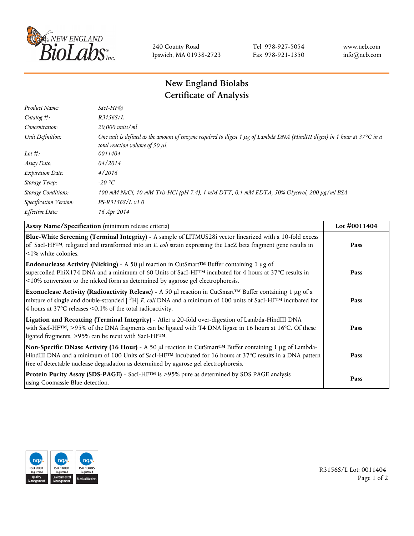

240 County Road Ipswich, MA 01938-2723 Tel 978-927-5054 Fax 978-921-1350 www.neb.com info@neb.com

## **New England Biolabs Certificate of Analysis**

| Product Name:              | $SacI-HF$ $R$                                                                                                                                                     |
|----------------------------|-------------------------------------------------------------------------------------------------------------------------------------------------------------------|
| Catalog #:                 | R3156S/L                                                                                                                                                          |
| Concentration:             | $20,000$ units/ml                                                                                                                                                 |
| Unit Definition:           | One unit is defined as the amount of enzyme required to digest 1 µg of Lambda DNA (HindIII digest) in 1 hour at 37°C in a<br>total reaction volume of 50 $\mu$ l. |
| Lot $\#$ :                 | 0011404                                                                                                                                                           |
| Assay Date:                | 04/2014                                                                                                                                                           |
| <b>Expiration Date:</b>    | 4/2016                                                                                                                                                            |
| Storage Temp:              | -20 °C                                                                                                                                                            |
| <b>Storage Conditions:</b> | 100 mM NaCl, 10 mM Tris-HCl (pH 7.4), 1 mM DTT, 0.1 mM EDTA, 50% Glycerol, 200 μg/ml BSA                                                                          |
| Specification Version:     | $PS-R3156S/L \nu 1.0$                                                                                                                                             |
| Effective Date:            | 16 Apr 2014                                                                                                                                                       |
|                            |                                                                                                                                                                   |

| Assay Name/Specification (minimum release criteria)                                                                                                                                                                                                                                                                                        | Lot $\#0011404$ |
|--------------------------------------------------------------------------------------------------------------------------------------------------------------------------------------------------------------------------------------------------------------------------------------------------------------------------------------------|-----------------|
| Blue-White Screening (Terminal Integrity) - A sample of LITMUS28i vector linearized with a 10-fold excess<br>of SacI-HF <sup>TM</sup> , religated and transformed into an E. coli strain expressing the LacZ beta fragment gene results in<br>$\leq$ 1% white colonies.                                                                    | Pass            |
| Endonuclease Activity (Nicking) - A 50 µl reaction in CutSmart <sup>TM</sup> Buffer containing 1 µg of<br>supercoiled PhiX174 DNA and a minimum of 60 Units of SacI-HF™ incubated for 4 hours at 37°C results in<br><10% conversion to the nicked form as determined by agarose gel electrophoresis.                                       | Pass            |
| Exonuclease Activity (Radioactivity Release) - A 50 $\mu$ l reaction in CutSmart <sup>TM</sup> Buffer containing 1 $\mu$ g of a<br>mixture of single and double-stranded $[{}^{3}H]$ E. coli DNA and a minimum of 100 units of SacI-HF <sup>TM</sup> incubated for<br>4 hours at 37 $\degree$ C releases <0.1% of the total radioactivity. | Pass            |
| Ligation and Recutting (Terminal Integrity) - After a 20-fold over-digestion of Lambda-HindIII DNA<br>with SacI-HF <sup>TM</sup> , >95% of the DNA fragments can be ligated with T4 DNA ligase in 16 hours at 16°C. Of these<br>ligated fragments, >95% can be recut with SacI-HFTM.                                                       | Pass            |
| Non-Specific DNase Activity (16 Hour) - A 50 µl reaction in CutSmart™ Buffer containing 1 µg of Lambda-<br>HindIII DNA and a minimum of 100 Units of SacI-HF <sup>TM</sup> incubated for 16 hours at 37°C results in a DNA pattern<br>free of detectable nuclease degradation as determined by agarose gel electrophoresis.                | Pass            |
| Protein Purity Assay (SDS-PAGE) - SacI-HF™ is >95% pure as determined by SDS PAGE analysis<br>using Coomassie Blue detection.                                                                                                                                                                                                              | Pass            |



R3156S/L Lot: 0011404 Page 1 of 2